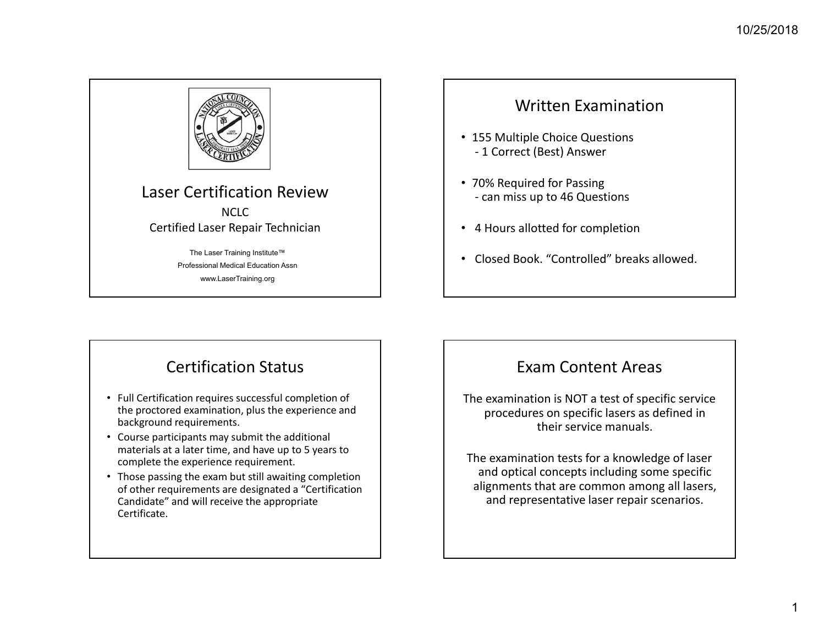

#### Written Examination

- 155 Multiple Choice Questions ‐ 1 Correct (Best) Answer
- 70% Required for Passing ‐ can miss up to 46 Questions
- 4 Hours allotted for completion
- Closed Book. "Controlled" breaks allowed.

# Certification Status

- Full Certification requires successful completion of the proctored examination, plus the experience and background requirements.
- Course participants may submit the additional materials at a later time, and have up to 5 years to complete the experience requirement.
- Those passing the exam but still awaiting completion of other requirements are designated a "Certification Candidate" and will receive the appropriate Certificate.

#### Exam Content Areas

The examination is NOT <sup>a</sup> test of specific service procedures on specific lasers as defined in their service manuals.

The examination tests for <sup>a</sup> knowledge of laser and optical concepts including some specific alignments that are common among all lasers, and representative laser repair scenarios.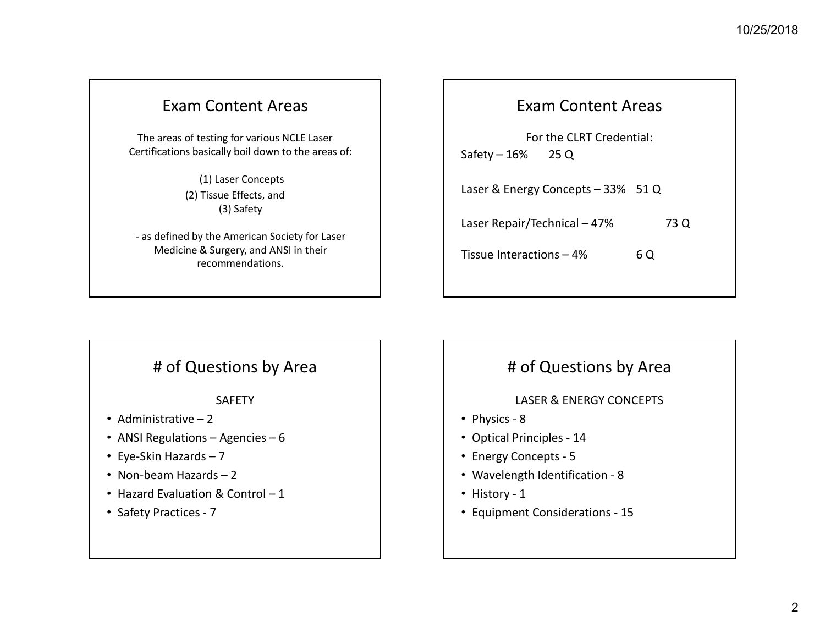#### Exam Content Areas

The areas of testing for various NCLE Laser Certifications basically boil down to the areas of:

> (1) Laser Concepts (2) Tissue Effects, and (3) Safety

‐ as defined by the American Society for Laser Medicine & Surgery, and ANSI in their recommendations.

#### Exam Content Areas

For the CLRT Credential: Safety – 16% 25 Q

Laser & Energy Concepts – 33% 51 Q

Laser Repair/Technical – 47% 73 Q

Tissue Interactions – 4% 6  $6Q$ 

#### # of Questions by Area

SAFETY

- Administrative 2
- ANSI Regulations Agencies 6
- Eye‐Skin Hazards 7
- Non‐beam Hazards 2
- Hazard Evaluation & Control 1
- Safety Practices ‐ 7

#### # of Questions by Area

#### LASER & ENERGY CONCEPTS

- Physics ‐ 8
- Optical Principles ‐ 14
- Energy Concepts ‐ 5
- Wavelength Identification ‐ 8
- History ‐ 1
- Equipment Considerations ‐ 15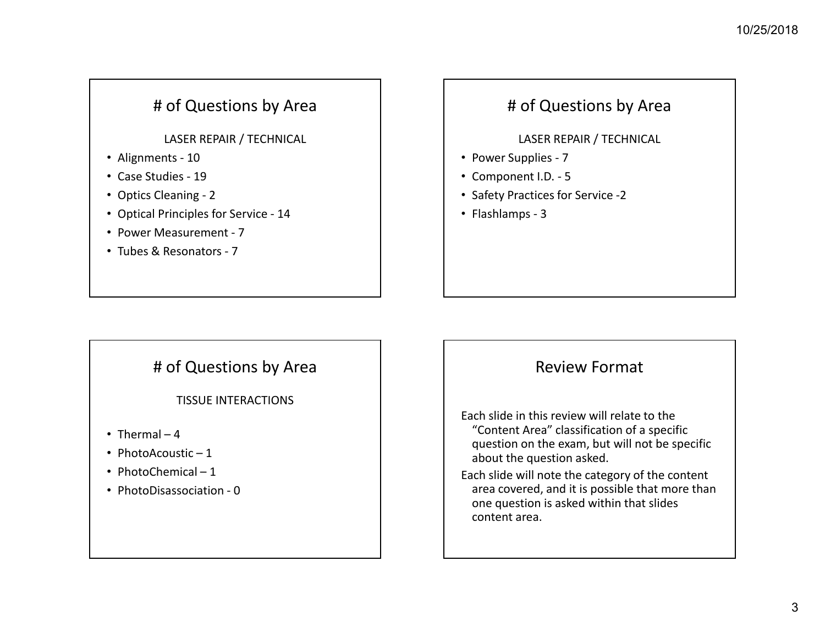#### # of Questions by Area

#### LASER REPAIR / TECHNICAL

- Alignments ‐ 10
- Case Studies ‐ 19
- Optics Cleaning ‐ 2
- Optical Principles for Service ‐ 14
- Power Measurement ‐ 7
- Tubes & Resonators ‐ 7

#### # of Questions by Area

#### LASER REPAIR / TECHNICAL

- Power Supplies ‐ 7
- Component I.D. ‐ 5
- Safety Practices for Service ‐2
- Flashlamps ‐ 3

#### # of Questions by Area

TISSUE INTERACTIONS

- Thermal 4
- PhotoAcoustic 1
- PhotoChemical 1
- PhotoDisassociation ‐ 0

#### Review Format

Each slide in this review will relate to the "Content Area" classification of <sup>a</sup> specific question on the exam, but will not be specific about the question asked.

Each slide will note the category of the content area covered, and it is possible that more than one question is asked within that slides content area.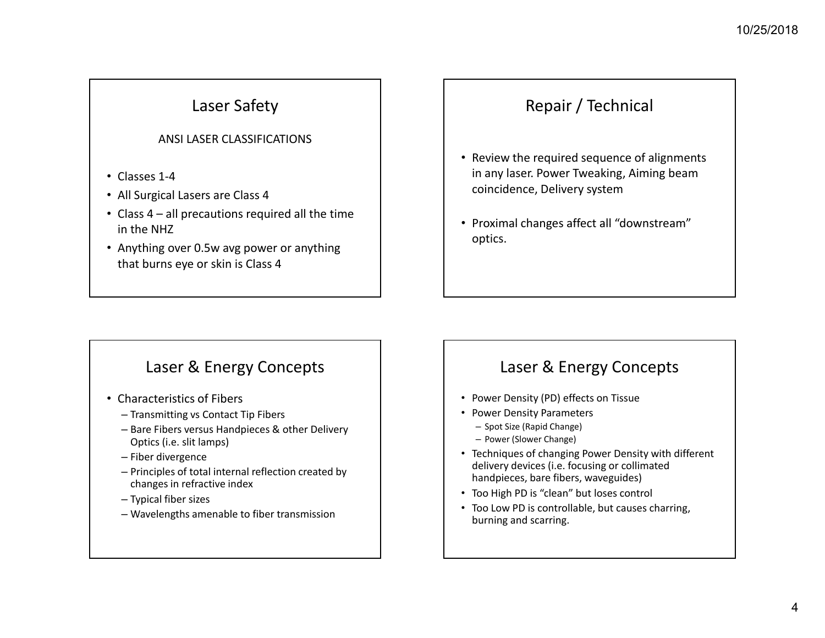### Laser Safety

#### ANSI LASER CLASSIFICATIONS

- Classes 1‐4
- All Surgical Lasers are Class 4
- Class 4 all precautions required all the time in the NHZ
- Anything over 0.5w avg power or anything that burns eye or skin is Class 4

# Repair / Technical

- Review the required sequence of alignments in any laser. Power Tweaking, Aiming beam coincidence, Delivery system
- Proximal changes affect all "downstream" optics.

### Laser & Energy Concepts

- Characteristics of Fibers
	- Transmitting vs Contact Tip Fibers
	- Bare Fibers versus Handpieces & other Delivery Optics (i.e. slit lamps)
	- Fiber divergence
	- Principles of total internal reflection created by changes in refractive index
	- Typical fiber sizes
	- Wavelengths amenable to fiber transmission

#### Laser & Energy Concepts

- Power Density (PD) effects on Tissue
- Power Density Parameters
	- Spot Size (Rapid Change)
	- Power (Slower Change)
- Techniques of changing Power Density with different delivery devices (i.e. focusing or collimated handpieces, bare fibers, waveguides)
- Too High PD is "clean" but loses control
- Too Low PD is controllable, but causes charring, burning and scarring.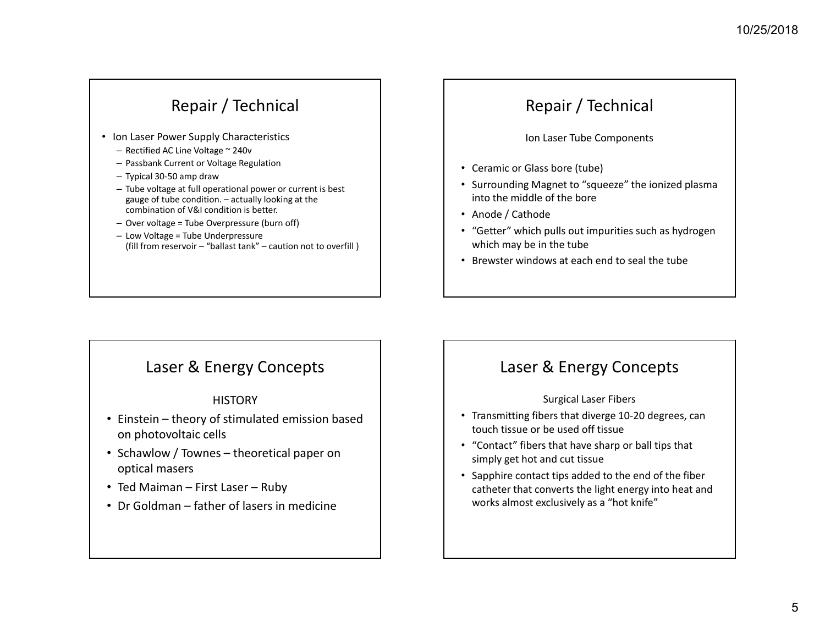- Ion Laser Power Supply Characteristics
	- Rectified AC Line Voltage <sup>~</sup> 240v
	- Passbank Current or Voltage Regulation
	- Typical 30‐50 amp draw
	- Tube voltage at full operational power or current is best gauge of tube condition. – actually looking at the combination of V&I condition is better.
	- Over voltage <sup>=</sup> Tube Overpressure (burn off)
	- Low Voltage <sup>=</sup> Tube Underpressure (fill from reservoir – "ballast tank" – caution not to overfill )

# Repair / Technical

Ion Laser Tube Components

- Ceramic or Glass bore (tube)
- Surrounding Magnet to "squeeze" the ionized plasma into the middle of the bore
- Anode / Cathode
- "Getter" which pulls out impurities such as hydrogen which may be in the tube
- Brewster windows at each end to seal the tube

### Laser & Energy Concepts

#### **HISTORY**

- Einstein theory of stimulated emission based on photovoltaic cells
- Schawlow / Townes theoretical paper on optical masers
- Ted Maiman First Laser Ruby
- Dr Goldman father of lasers in medicine

#### Laser & Energy Concepts

#### Surgical Laser Fibers

- Transmitting fibers that diverge 10-20 degrees, can touch tissue or be used off tissue
- "Contact" fibers that have sharp or ball tips that simply get hot and cut tissue
- Sapphire contact tips added to the end of the fiber catheter that converts the light energy into heat and works almost exclusively as <sup>a</sup> "hot knife"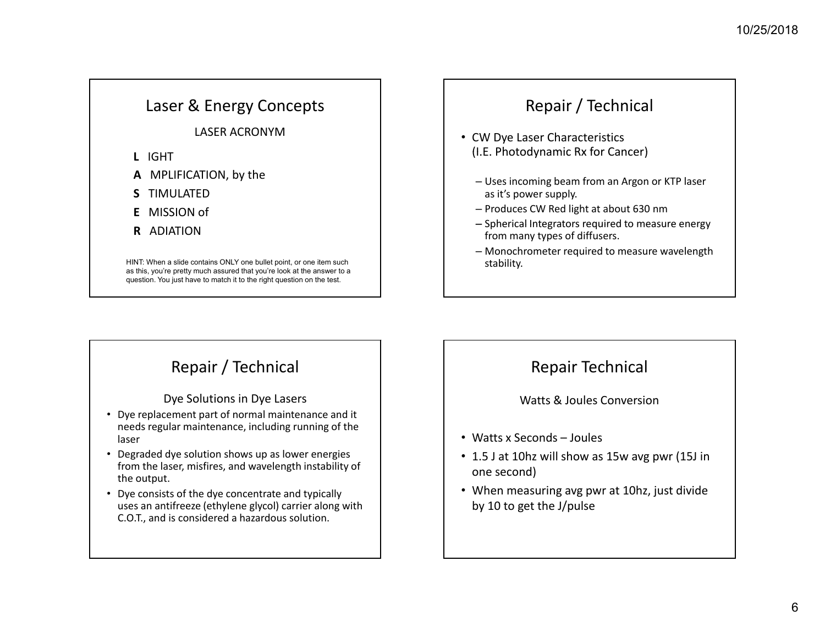#### LASER ACRONYM

- **L** IGHT
- **A** MPLIFICATION, by the
- **S** TIMULATED
- **E** MISSION of
- **R** ADIATION

HINT: When a slide contains ONLY one bullet point, or one item such as this, you're pretty much assured that you're look at the answer to a question. You just have to match it to the right question on the test.

### Repair / Technical

- CW Dye Laser Characteristics (I.E. Photodynamic Rx for Cancer)
	- Uses incoming beam from an Argon or KTP laser as it's power supply.
	- Produces CW Red light at about 630 nm
	- Spherical Integrators required to measure energy from many types of diffusers.
	- Monochrometer required to measure wavelength stability.

# Repair / Technical

Dye Solutions in Dye Lasers

- Dye replacement part of normal maintenance and it needs regular maintenance, including running of the laser
- Degraded dye solution shows up as lower energies from the laser, misfires, and wavelength instability of the output.
- Dye consists of the dye concentrate and typically uses an antifreeze (ethylene glycol) carrier along with C.O.T., and is considered <sup>a</sup> hazardous solution.

#### Repair Technical

Watts & Joules Conversion

- Watts x Seconds Joules
- 1.5 J at 10hz will show as 15w avg pwr (15J in one second)
- When measuring avg pwr at 10hz, just divide by 10 to get the J/pulse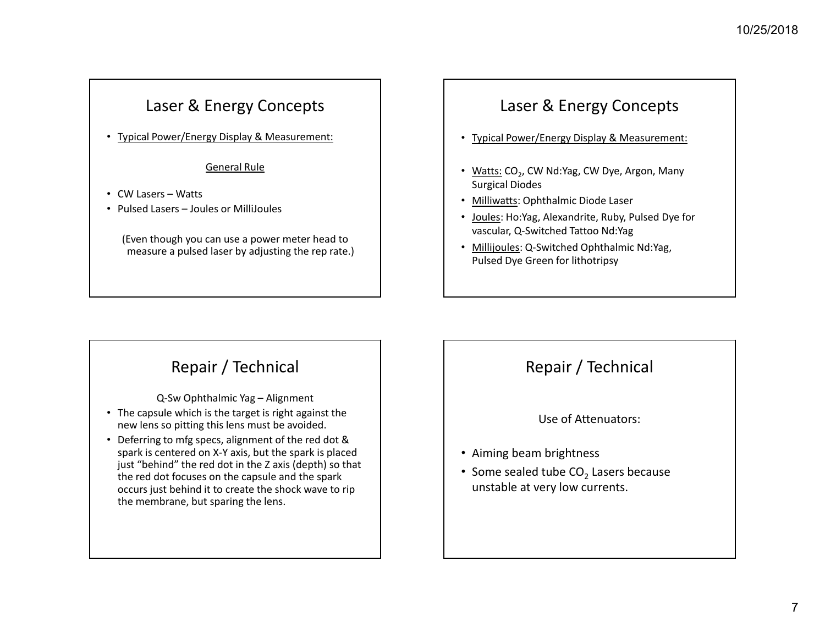• Typical Power/Energy Display & Measurement:

General Rule

- CW Lasers Watts
- Pulsed Lasers Joules or MilliJoules

(Even though you can use <sup>a</sup> power meter head to measure <sup>a</sup> pulsed laser by adjusting the rep rate.)

### Laser & Energy Concepts

- Typical Power/Energy Display & Measurement:
- Watts: CO<sub>2</sub>, CW Nd:Yag, CW Dye, Argon, Many Surgical Diodes
- Milliwatts: Ophthalmic Diode Laser
- Joules: Ho:Yag, Alexandrite, Ruby, Pulsed Dye for vascular, Q‐Switched Tattoo Nd:Yag
- Millijoules: Q-Switched Ophthalmic Nd:Yag, Pulsed Dye Green for lithotripsy

# Repair / Technical

Q‐Sw Ophthalmic Yag – Alignment

- The capsule which is the target is right against the new lens so pitting this lens must be avoided.
- Deferring to mfg specs, alignment of the red dot & spark is centered on X‐Y axis, but the spark is placed just "behind" the red dot in the Z axis (depth) so that the red dot focuses on the capsule and the spark occurs just behind it to create the shock wave to rip the membrane, but sparing the lens.

# Repair / Technical

#### Use of Attenuators:

- Aiming beam brightness
- Some sealed tube CO<sub>2</sub> Lasers because unstable at very low currents.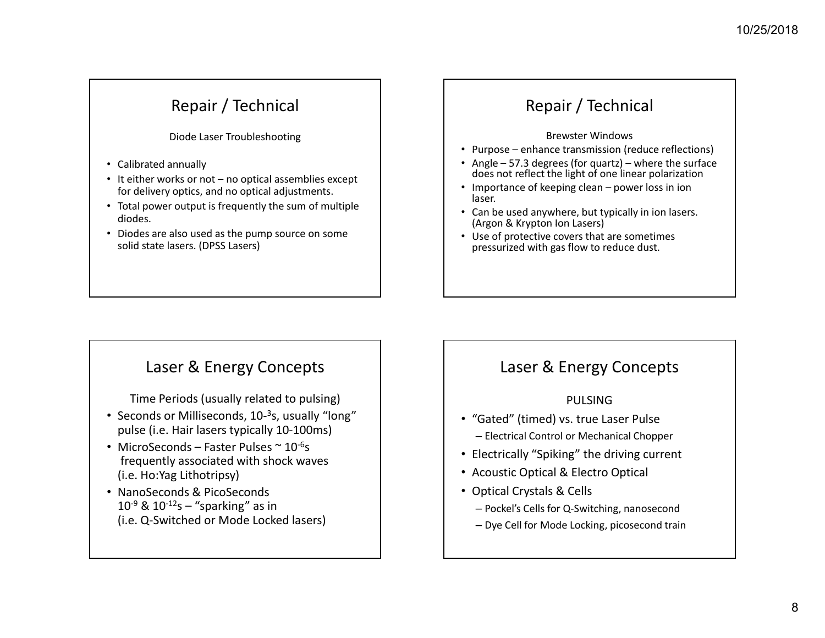#### Diode Laser Troubleshooting

- Calibrated annually
- It either works or not no optical assemblies except for delivery optics, and no optical adjustments.
- Total power output is frequently the sum of multiple diodes.
- Diodes are also used as the pump source on some solid state lasers. (DPSS Lasers)

# Repair / Technical

#### Brewster Windows

- Purpose enhance transmission (reduce reflections)
- Angle 57.3 degrees (for quartz) where the surface does not reflect the light of one linear polarization
- Importance of keeping clean power loss in ion laser.
- Can be used anywhere, but typically in ion lasers. (Argon & Krypton Ion Lasers)
- Use of protective covers that are sometimes pressurized with gas flow to reduce dust.

### Laser & Energy Concepts

Time Periods (usually related to pulsing)

- Seconds or Milliseconds, 10-<sup>3</sup>s, usually "long" pulse (i.e. Hair lasers typically 10‐100ms)
- MicroSeconds Faster Pulses  $\sim$  10<sup>-6</sup>s frequently associated with shock waves (i.e. Ho:Yag Lithotripsy)
- NanoSeconds & PicoSeconds 10<sup>-9</sup> & 10<sup>-12</sup>s – "sparking" as in (i.e. Q‐Switched or Mode Locked lasers)

#### Laser & Energy Concepts

#### PULSING

- "Gated" (timed) vs. true Laser Pulse – Electrical Control or Mechanical Chopper
- Electrically "Spiking" the driving current
- Acoustic Optical & Electro Optical
- Optical Crystals & Cells
	- Pockel's Cells for Q‐Switching, nanosecond
	- Dye Cell for Mode Locking, picosecond train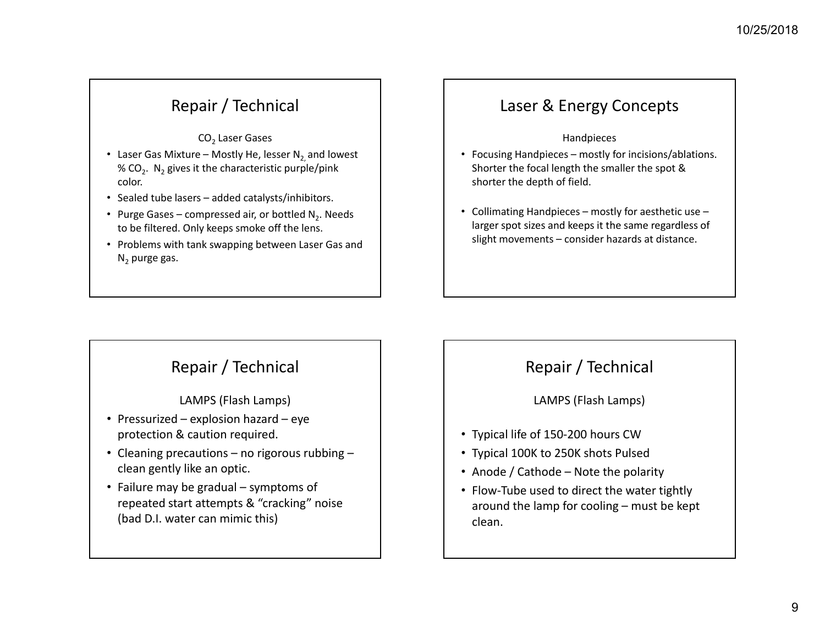CO $_{\rm 2}$  Laser Gases

- Laser Gas Mixture Mostly He, lesser N<sub>2,</sub> and lowest % CO<sub>2</sub>. N<sub>2</sub> gives it the characteristic purple/pink color.
- Sealed tube lasers added catalysts/inhibitors.
- Purge Gases compressed air, or bottled N<sub>2</sub>. Needs to be filtered. Only keeps smoke off the lens.
- Problems with tank swapping between Laser Gas and N<sub>2</sub> purge gas.

### Laser & Energy Concepts

#### Handpieces

- Focusing Handpieces mostly for incisions/ablations. Shorter the focal length the smaller the spot & shorter the depth of field.
- Collimating Handpieces mostly for aesthetic use larger spot sizes and keeps it the same regardless of slight movements – consider hazards at distance.

### Repair / Technical

LAMPS (Flash Lamps)

- Pressurized explosion hazard eye protection & caution required.
- Cleaning precautions no rigorous rubbing clean gently like an optic.
- Failure may be gradual symptoms of repeated start attempts & "cracking" noise (bad D.I. water can mimic this)

### Repair / Technical

LAMPS (Flash Lamps)

- Typical life of 150‐200 hours CW
- Typical 100K to 250K shots Pulsed
- Anode / Cathode Note the polarity
- Flow‐Tube used to direct the water tightly around the lamp for cooling – must be kept clean.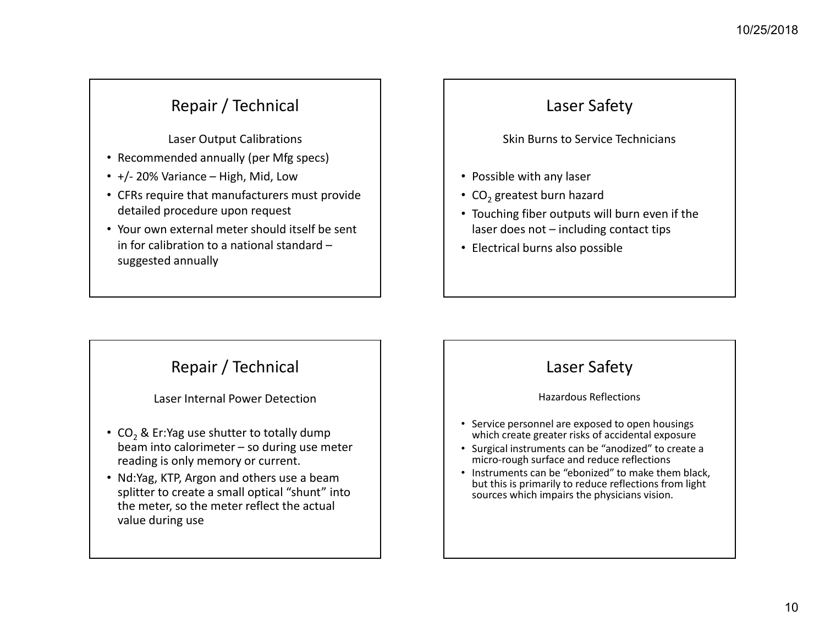Laser Output Calibrations

- Recommended annually (per Mfg specs)
- +/‐ 20% Variance High, Mid, Low
- CFRs require that manufacturers must provide detailed procedure upon request
- Your own external meter should itself be sent in for calibration to <sup>a</sup> national standard – suggested annually

# Laser Safety

Skin Burns to Service Technicians

- Possible with any laser
- $\textsf{CO}_2$  greatest burn hazard
- Touching fiber outputs will burn even if the laser does not – including contact tips
- Electrical burns also possible

# Repair / Technical

#### Laser Internal Power Detection

- CO<sub>2</sub> & Er:Yag use shutter to totally dump beam into calorimeter – so during use meter reading is only memory or current.
- Nd:Yag, KTP, Argon and others use <sup>a</sup> beam splitter to create <sup>a</sup> small optical "shunt" into the meter, so the meter reflect the actual value during use

#### Laser Safety

#### Hazardous Reflections

- Service personnel are exposed to open housings which create greater risks of accidental exposure
- Surgical instruments can be "anodized" to create <sup>a</sup> micro‐rough surface and reduce reflections
- Instruments can be "ebonized" to make them black, but this is primarily to reduce reflections from light sources which impairs the physicians vision.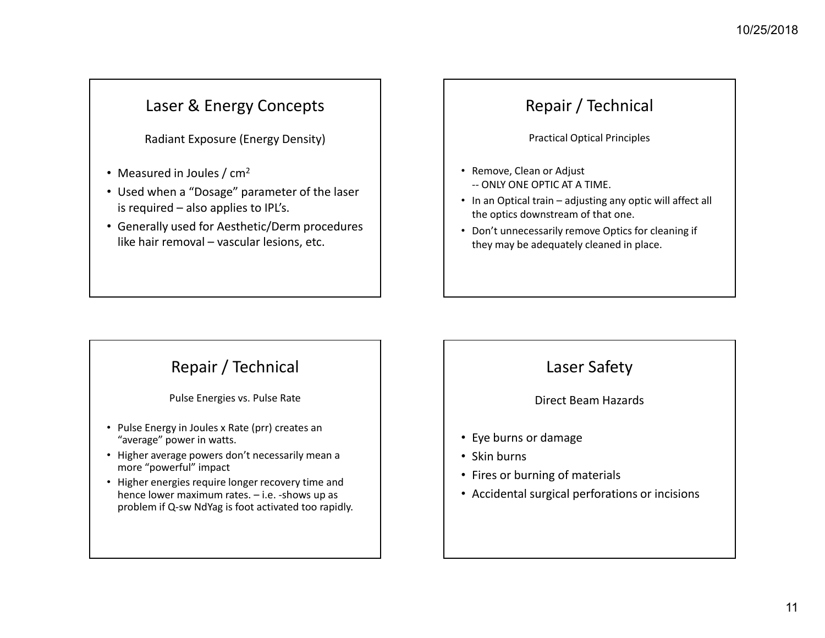Radiant Exposure (Energy Density)

- Measured in Joules / cm<sup>2</sup>
- Used when <sup>a</sup> "Dosage" parameter of the laser is required – also applies to IPL's.
- Generally used for Aesthetic/Derm procedures like hair removal – vascular lesions, etc.

# Repair / Technical

Practical Optical Principles

- Remove, Clean or Adjust ‐‐ ONLY ONE OPTIC AT A TIME.
- In an Optical train adjusting any optic will affect all the optics downstream of that one.
- Don't unnecessarily remove Optics for cleaning if they may be adequately cleaned in place.

# Repair / Technical

Pulse Energies vs. Pulse Rate

- Pulse Energy in Joules <sup>x</sup> Rate (prr) creates an "average" power in watts.
- Higher average powers don't necessarily mean <sup>a</sup> more "powerful" impact
- Higher energies require longer recovery time and hence lower maximum rates. – i.e. ‐shows up as problem if Q‐sw NdYag is foot activated too rapidly.

# Laser Safety

Direct Beam Hazards

- Eye burns or damage
- Skin burns
- Fires or burning of materials
- Accidental surgical perforations or incisions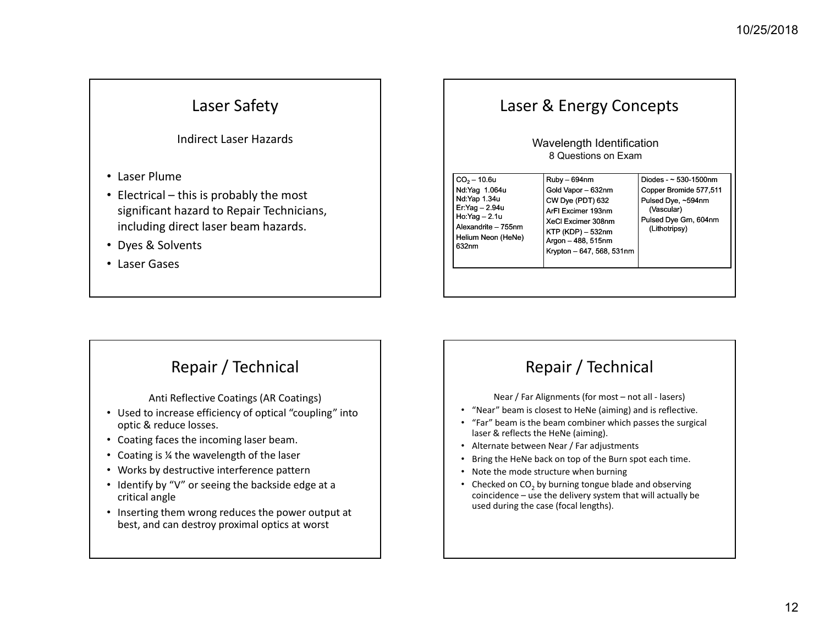### Laser Safety

#### Indirect Laser Hazards

- Laser Plume
- Electrical this is probably the most significant hazard to Repair Technicians, including direct laser beam hazards.
- Dyes & Solvents
- Laser Gases

### Laser & Energy Concepts

Wavelength Identification 8 Questions on Exam

# Repair / Technical

Anti Reflective Coatings (AR Coatings)

- Used to increase efficiency of optical "coupling" into optic & reduce losses.
- Coating faces the incoming laser beam.
- Coating is ¼ the wavelength of the laser
- Works by destructive interference pattern
- Identify by "V" or seeing the backside edge at <sup>a</sup> critical angle
- Inserting them wrong reduces the power output at best, and can destroy proximal optics at worst

# Repair / Technical

Near / Far Alignments (for most – not all ‐ lasers)

- •"Near" beam is closest to HeNe (aiming) and is reflective.
- "Far" beam is the beam combiner which passes the surgical laser & reflects the HeNe (aiming).
- Alternate between Near / Far adjustments
- Bring the HeNe back on top of the Burn spot each time.
- Note the mode structure when burning
- Checked on CO<sub>2</sub> by burning tongue blade and observing 2 P O O coincidence – use the delivery system that will actually be used during the case (focal lengths).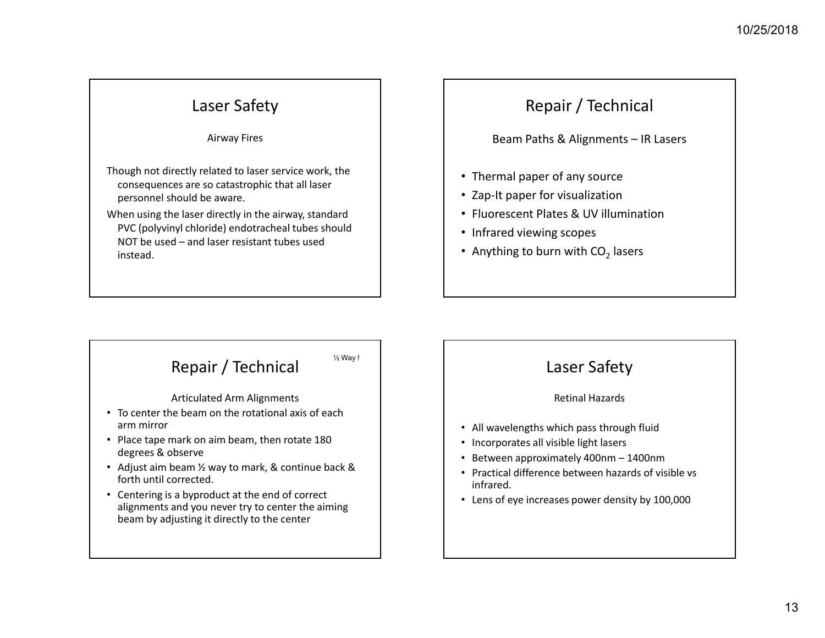# Laser Safety

Airway Fires

Though not directly related to laser service work, the consequences are so catastrophic that all laser personnel should be aware.

When using the laser directly in the airway, standard PVC (polyvinyl chloride) endotracheal tubes should NOT be used – and laser resistant tubes used instead.

# Repair / Technical

Beam Paths & Alignments – IR Lasers

- Thermal paper of any source
- Zap‐It paper for visualization
- Fluorescent Plates & UV illumination
- Infrared viewing scopes
- Anything to burn with CO<sub>2</sub> lasers



# Laser Safety

#### Retinal Hazards

- All wavelengths which pass through fluid
- Incorporates all visible light lasers
- Between approximately 400nm 1400nm
- Practical difference between hazards of visible vs infrared.
- Lens of eye increases power density by 100,000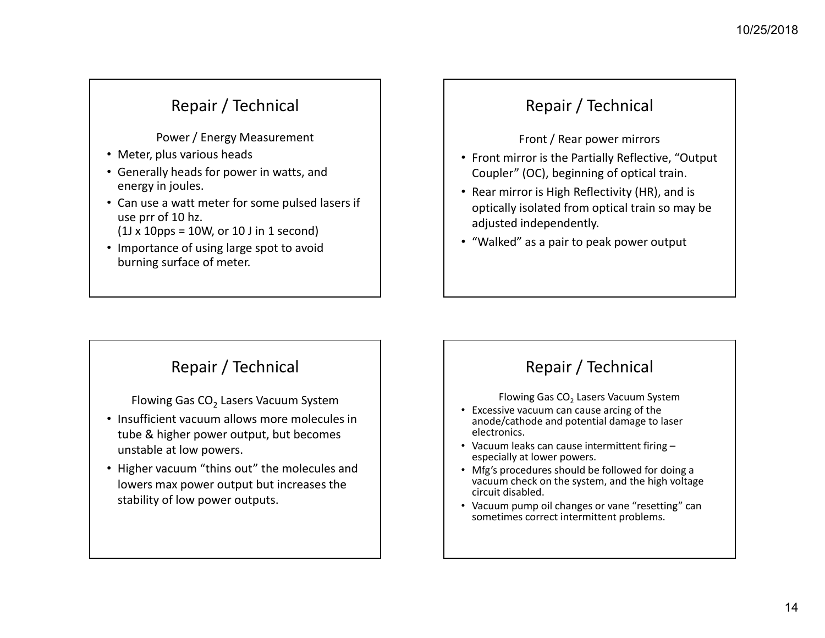Power / Energy Measurement

- Meter, plus various heads
- Generally heads for power in watts, and energy in joules.
- Can use <sup>a</sup> watt meter for some pulsed lasers if use prr of 10 hz.  $(1J \times 10\text{pps} = 10W)$ , or 10 J in 1 second)
- Importance of using large spot to avoid burning surface of meter.

# Repair / Technical

Front / Rear power mirrors

- Front mirror is the Partially Reflective, "Output Coupler" (OC), beginning of optical train.
- Rear mirror is High Reflectivity (HR), and is optically isolated from optical train so may be adjusted independently.
- "Walked" as a pair to peak power output

# Repair / Technical

Flowing Gas CO<sub>2</sub> Lasers Vacuum System

- Insufficient vacuum allows more molecules in tube & higher power output, but becomes unstable at low powers.
- Higher vacuum "thins out" the molecules and lowers max power output but increases the stability of low power outputs.

# Repair / Technical

Flowing Gas CO $_2$  Lasers Vacuum System

- Excessive vacuum can cause arcing of the anode/cathode and potential damage to laser electronics.
- Vacuum leaks can cause intermittent firing especially at lower powers.
- Mfg's procedures should be followed for doing <sup>a</sup> vacuum check on the system, and the high voltage circuit disabled.
- Vacuum pump oil changes or vane "resetting" can sometimes correct intermittent problems.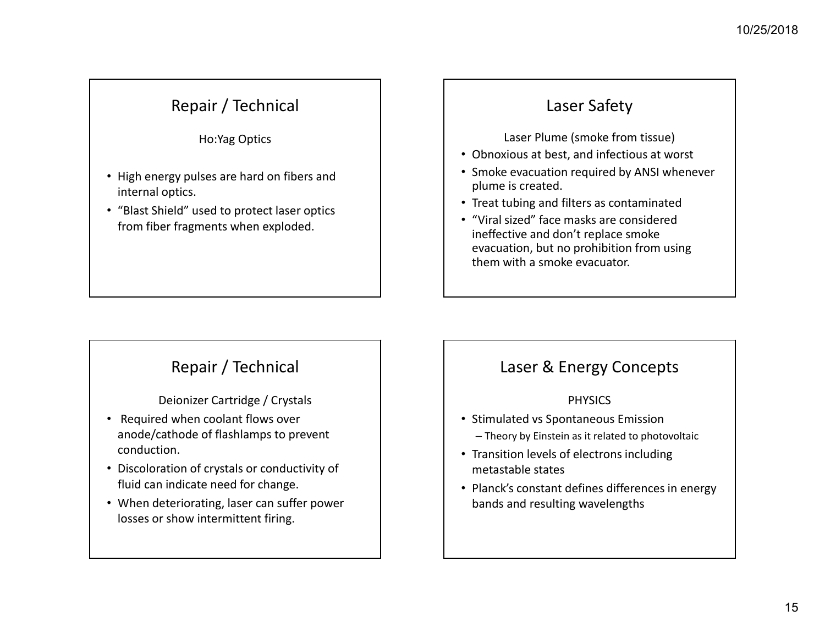Ho:Yag Optics

- High energy pulses are hard on fibers and internal optics.
- "Blast Shield" used to protect laser optics from fiber fragments when exploded.

# Laser Safety

Laser Plume (smoke from tissue)

- Obnoxious at best, and infectious at worst
- Smoke evacuation required by ANSI whenever plume is created.
- Treat tubing and filters as contaminated
- "Viral sized" face masks are consideredineffective and don't replace smoke evacuation, but no prohibition from using them with <sup>a</sup> smoke evacuator.

### Repair / Technical

Deionizer Cartridge / Crystals

- Required when coolant flows over anode/cathode of flashlamps to prevent conduction.
- Discoloration of crystals or conductivity of fluid can indicate need for change.
- When deteriorating, laser can suffer power losses or show intermittent firing.

### Laser & Energy Concepts

#### PHYSICS

- Stimulated vs Spontaneous Emission – Theory by Einstein as it related to photovoltaic
- Transition levels of electrons including metastable states
- Planck's constant defines differences in energy bands and resulting wavelengths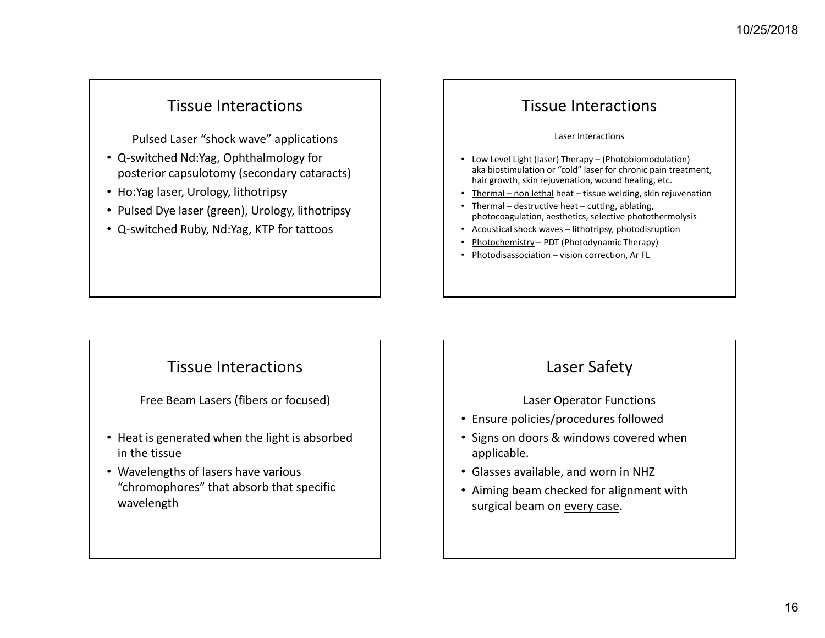# Tissue Interactions

Pulsed Laser "shock wave" applications

- Q‐switched Nd:Yag, Ophthalmology for posterior capsulotomy (secondary cataracts)
- Ho:Yag laser, Urology, lithotripsy
- Pulsed Dye laser (green), Urology, lithotripsy
- Q‐switched Ruby, Nd:Yag, KTP for tattoos

### Tissue Interactions

#### Laser Interactions

- Low Level Light (laser) Therapy (Photobiomodulation) aka biostimulation or "cold" laser for chronic pain treatment, hair growth, skin rejuvenation, wound healing, etc.
- Thermal non lethal heat tissue welding, skin rejuvenation
- •• Thermal – destructive heat – cutting, ablating, photocoagulation, aesthetics, selective photothermolysis
- Acoustical shock waves lithotripsy, photodisruption
- •Photochemistry – PDT (Photodynamic Therapy)
- Photodisassociation vision correction, Ar FL

#### Tissue Interactions

Free Beam Lasers (fibers or focused)

- Heat is generated when the light is absorbed in the tissue
- Wavelengths of lasers have various "chromophores" that absorb that specific wavelength

#### Laser Safety

#### Laser Operator Functions

- Ensure policies/procedures followed
- Signs on doors & windows covered when applicable.
- Glasses available, and worn in NHZ
- Aiming beam checked for alignment with surgical beam on every case.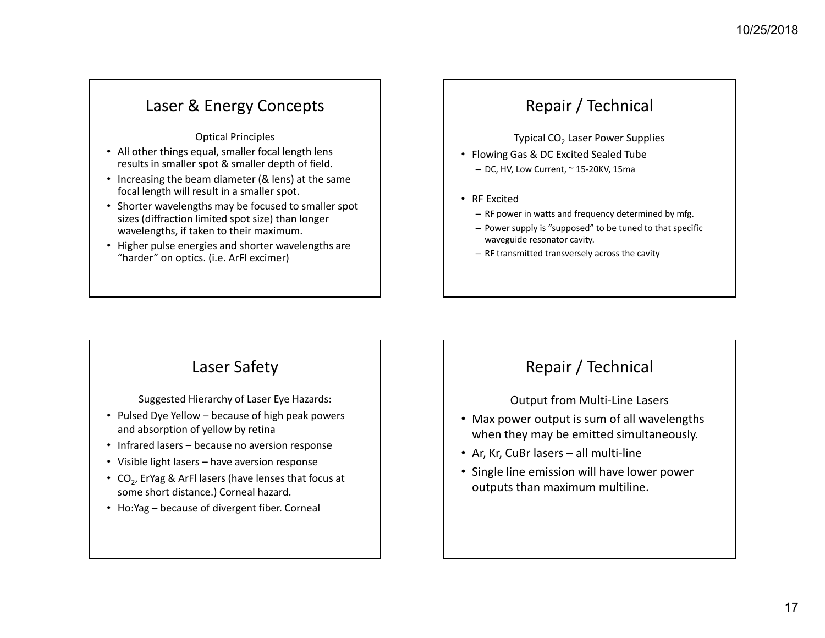#### Optical Principles

- All other things equal, smaller focal length lens results in smaller spot & smaller depth of field.
- Increasing the beam diameter (& lens) at the same focal length will result in <sup>a</sup> smaller spot.
- Shorter wavelengths may be focused to smaller spot sizes (diffraction limited spot size) than longer wavelengths, if taken to their maximum.
- Higher pulse energies and shorter wavelengths are "harder" on optics. (i.e. ArFl excimer)

# Repair / Technical

Typical CO<sub>2</sub> Laser Power Supplies

- Flowing Gas & DC Excited Sealed Tube
	- DC, HV, Low Current, <sup>~</sup> 15‐20KV, 15ma
- RF Excited
	- RF power in watts and frequency determined by mfg.
	- $-$  Power supply is "supposed" to be tuned to that specific waveguide resonator cavity.
	- RF transmitted transversely across the cavity

# Laser Safety

Suggested Hierarchy of Laser Eye Hazards:

- Pulsed Dye Yellow because of high peak powers and absorption of yellow by retina
- Infrared lasers because no aversion response
- Visible light lasers have aversion response
- $CO_{2}$ , ErYag & ArFI lasers (have lenses that focus at some short distance.) Corneal hazard.
- Ho:Yag because of divergent fiber. Corneal

### Repair / Technical

#### Output from Multi‐Line Lasers

- Max power output is sum of all wavelengths when they may be emitted simultaneously.
- Ar, Kr, CuBr lasers all multi‐line
- Single line emission will have lower power outputs than maximum multiline.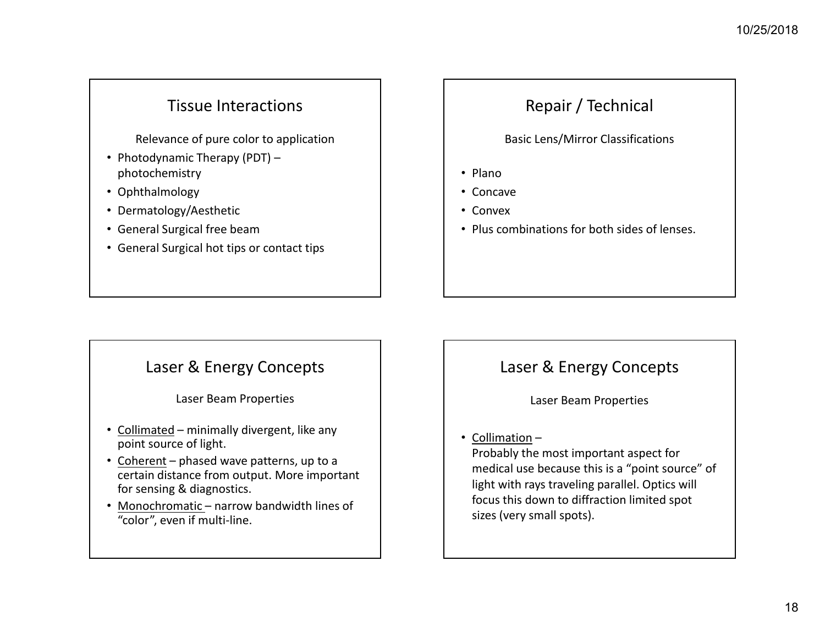### Tissue Interactions

Relevance of pure color to application

- Photodynamic Therapy (PDT) photochemistry
- Ophthalmology
- Dermatology/Aesthetic
- General Surgical free beam
- General Surgical hot tips or contact tips

# Repair / Technical

Basic Lens/Mirror Classifications

- Plano
- Concave
- Convex
- Plus combinations for both sides of lenses.

### Laser & Energy Concepts

Laser Beam Properties

- Collimated minimally divergent, like any point source of light.
- Coherent phased wave patterns, up to a certain distance from output. More important for sensing & diagnostics.
- Monochromatic narrow bandwidth lines of "color", even if multi‐line.

### Laser & Energy Concepts

Laser Beam Properties

#### • Collimation –

Probably the most important aspect for medical use because this is <sup>a</sup> "point source" of light with rays traveling parallel. Optics will focus this down to diffraction limited spot sizes (very small spots).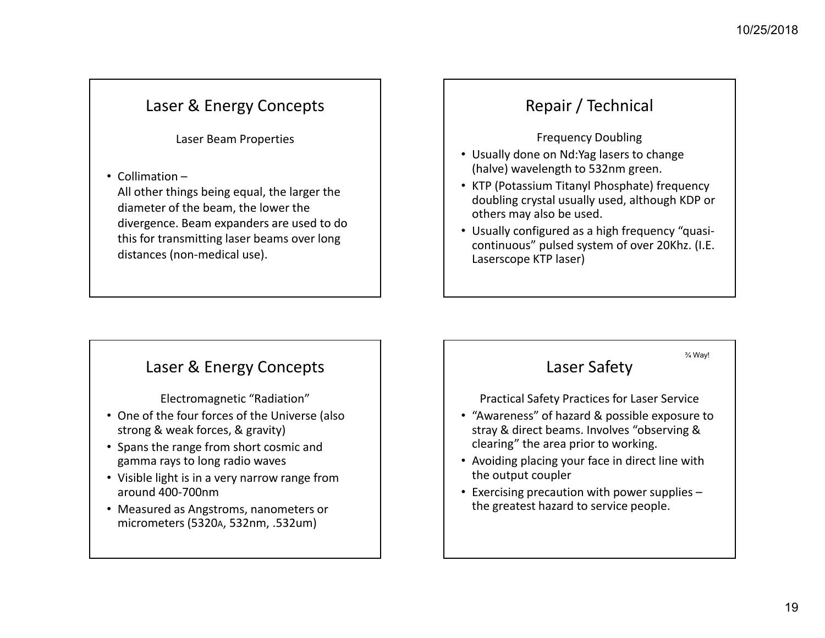Laser Beam Properties

• Collimation –

All other things being equal, the larger the diameter of the beam, the lower the divergence. Beam expanders are used to do this for transmitting laser beams over long distances (non‐medical use).

# Repair / Technical

Frequency Doubling

- Usually done on Nd: Yag lasers to change (halve) wavelength to 532nm green.
- KTP (Potassium Titanyl Phosphate) frequency doubling crystal usually used, although KDP or others may also be used.
- Usually configured as <sup>a</sup> high frequency "quasi‐ continuous" pulsed system of over 20Khz. (I.E. Laserscope KTP laser)

### Laser & Energy Concepts

Electromagnetic "Radiation"

- One of the four forces of the Universe (also strong & weak forces, & gravity)
- Spans the range from short cosmic and gamma rays to long radio waves
- Visible light is in <sup>a</sup> very narrow range from around 400‐700nm
- Measured as Angstroms, nanometers or micrometers (5320A, 532nm, .532um)

# Laser Safety

¾ Way!

Practical Safety Practices for Laser Service

- "Awareness" of hazard & possible exposure to stray & direct beams. Involves "observing & clearing" the area prior to working.
- Avoiding placing your face in direct line with the output coupler
- Exercising precaution with power supplies the greatest hazard to service people.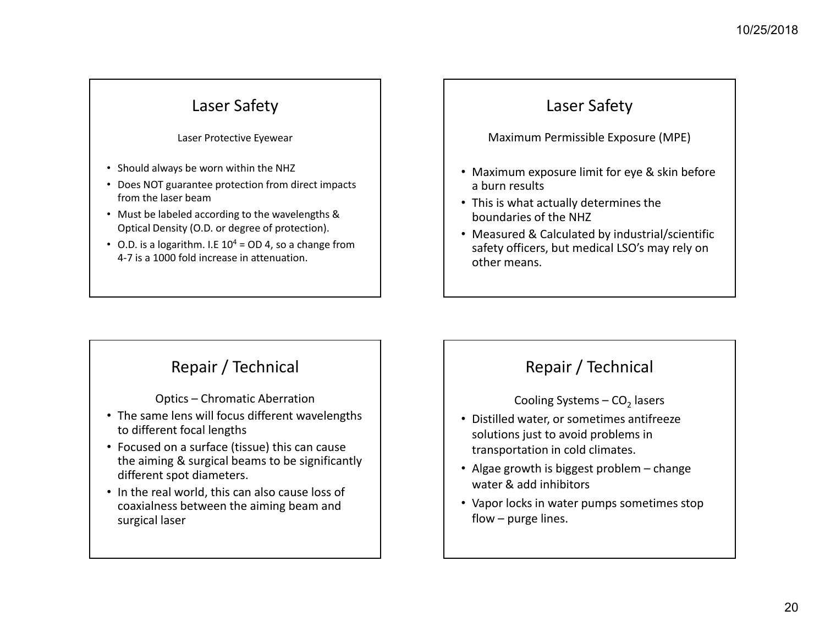# Laser Safety

Laser Protective Eyewear

- Should always be worn within the NHZ
- Does NOT guarantee protection from direct impacts from the laser beam
- Must be labeled according to the wavelengths & Optical Density (O.D. or degree of protection).
- O.D. is a logarithm. I.E  $10^4$  = OD 4, so a change from 4‐7 is <sup>a</sup> 1000 fold increase in attenuation.

# Laser Safety

Maximum Permissible Exposure (MPE)

- Maximum exposure limit for eye & skin before a burn results
- This is what actually determines the boundaries of the NHZ
- Measured & Calculated by industrial/scientific safety officers, but medical LSO's may rely on other means.

# Repair / Technical

Optics – Chromatic Aberration

- The same lens will focus different wavelengths to different focal lengths
- Focused on <sup>a</sup> surface (tissue) this can cause the aiming & surgical beams to be significantly different spot diameters.
- In the real world, this can also cause loss of coaxialness between the aiming beam and surgical laser

# Repair / Technical

Cooling Systems – CO<sub>2</sub> lasers

- Distilled water, or sometimes antifreeze solutions just to avoid problems in transportation in cold climates.
- Algae growth is biggest problem change water & add inhibitors
- Vapor locks in water pumps sometimes stop flow – purge lines.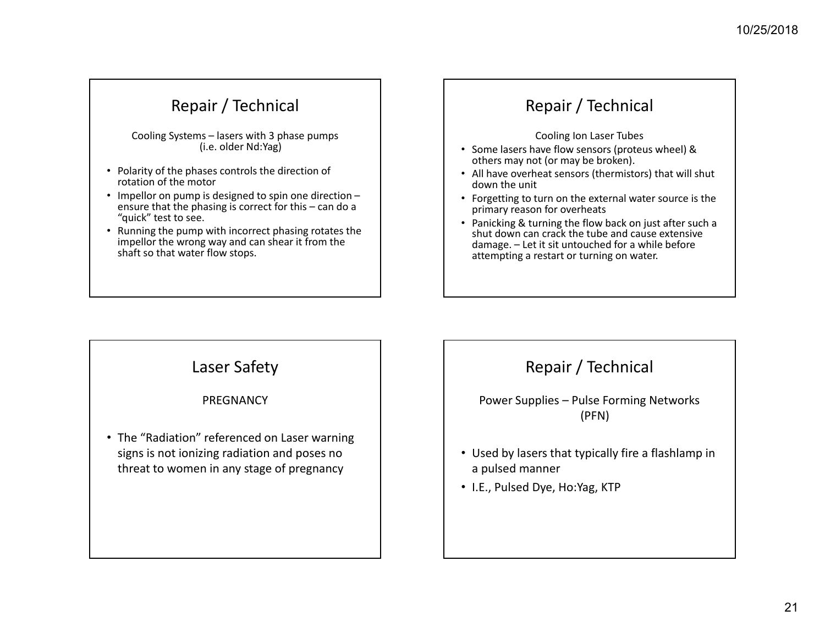Cooling Systems – lasers with 3 phase pumps (i.e. older Nd:Yag)

- Polarity of the phases controls the direction of rotation of the motor
- Impellor on pump is designed to spin one direction ensure that the phasing is correct for this – can do <sup>a</sup> "quick" test to see.
- Running the pump with incorrect phasing rotates the impellor the wrong way and can shear it from the shaft so that water flow stops.

# Repair / Technical

Cooling Ion Laser Tubes

- Some lasers have flow sensors (proteus wheel) & others may not (or may be broken).
- All have overheat sensors (thermistors) that will shut down the unit
- Forgetting to turn on the external water source is the primary reason for overheats
- Panicking & turning the flow back on just after such <sup>a</sup> shut down can crack the tube and cause extensive damage. – Let it sit untouched for <sup>a</sup> while before attempting <sup>a</sup> restart or turning on water.

### Laser Safety

#### **PREGNANCY**

• The "Radiation" referenced on Laser warning signs is not ionizing radiation and poses no threat to women in any stage of pregnancy

#### Repair / Technical

Power Supplies – Pulse Forming Networks (PFN)

- Used by lasers that typically fire <sup>a</sup> flashlamp in a pulsed manner
- I.E., Pulsed Dye, Ho:Yag, KTP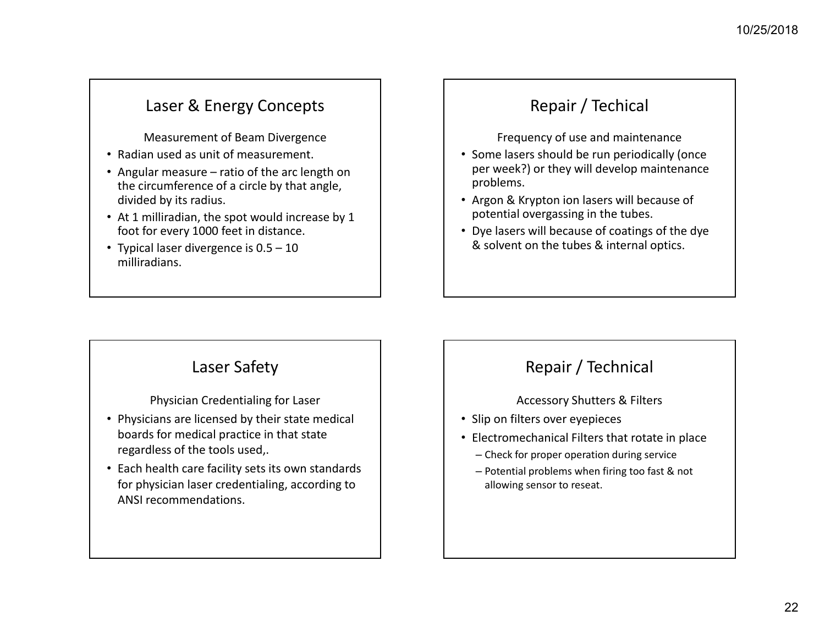Measurement of Beam Divergence

- Radian used as unit of measurement.
- Angular measure ratio of the arc length on the circumference of <sup>a</sup> circle by that angle, divided by its radius.
- At 1 milliradian, the spot would increase by 1 foot for every 1000 feet in distance.
- Typical laser divergence is 0.5 10 milliradians.

# Repair / Techical

Frequency of use and maintenance

- Some lasers should be run periodically (once per week?) or they will develop maintenance problems.
- Argon & Krypton ion lasers will because of potential overgassing in the tubes.
- Dye lasers will because of coatings of the dye & solvent on the tubes & internal optics.

### Laser Safety

Physician Credentialing for Laser

- Physicians are licensed by their state medical boards for medical practice in that state regardless of the tools used,.
- Each health care facility sets its own standards for physician laser credentialing, according to ANSI recommendations.

# Repair / Technical

Accessory Shutters & Filters

- Slip on filters over eyepieces
- Electromechanical Filters that rotate in place
	- Check for proper operation during service
	- Potential problems when firing too fast & not allowing sensor to reseat.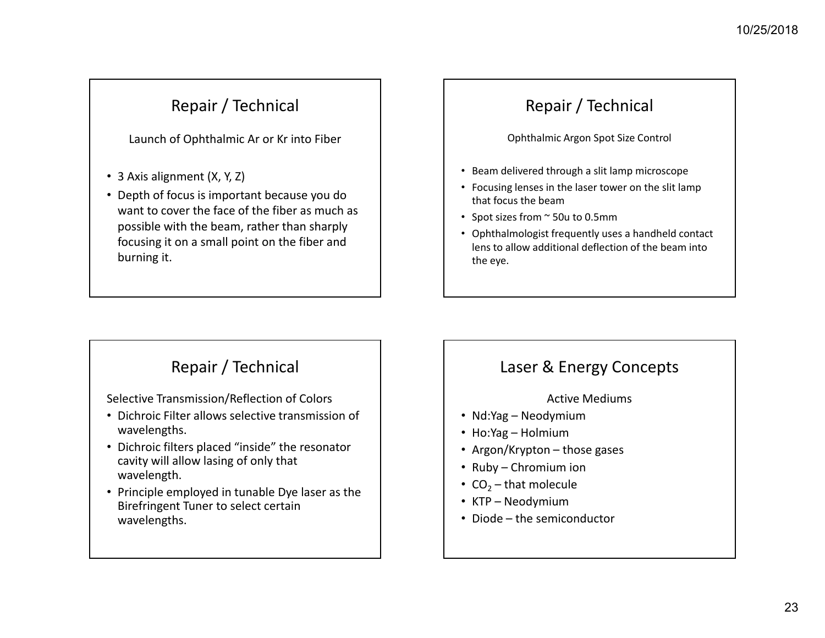#### Launch of Ophthalmic Ar or Kr into Fiber

- 3 Axis alignment (X, Y, Z)
- Depth of focus is important because you do want to cover the face of the fiber as much as possible with the beam, rather than sharply focusing it on <sup>a</sup> small point on the fiber and burning it.

# Repair / Technical

Ophthalmic Argon Spot Size Control

- Beam delivered through <sup>a</sup> slit lamp microscope
- Focusing lenses in the laser tower on the slit lamp that focus the beam
- Spot sizes from <sup>~</sup> 50u to 0.5mm
- Ophthalmologist frequently uses <sup>a</sup> handheld contact lens to allow additional deflection of the beam into the eye.

# Repair / Technical

Selective Transmission/Reflection of Colors

- Dichroic Filter allows selective transmission of wavelengths.
- Dichroic filters placed "inside" the resonator cavity will allow lasing of only that wavelength.
- Principle employed in tunable Dye laser as the Birefringent Tuner to select certain wavelengths.

# Laser & Energy Concepts

#### Active Mediums

- Nd:Yag Neodymium
- Ho:Yag Holmium
- Argon/Krypton those gases
- Ruby Chromium ion
- $CO_2$  that molecule
- KTP Neodymium
- Diode the semiconductor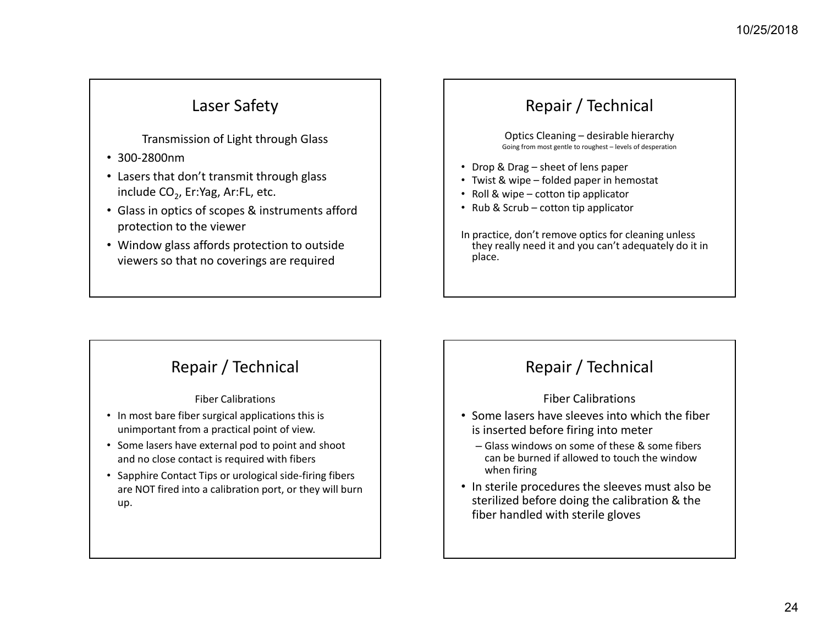# Laser Safety

#### Transmission of Light through Glass

- 300‐2800nm
- Lasers that don't transmit through glass include CO<sub>2</sub>, Er:Yag, Ar:FL, etc.
- Glass in optics of scopes & instruments afford protection to the viewer
- Window glass affords protection to outside viewers so that no coverings are required

# Repair / Technical

Optics Cleaning – desirable hierarchy Going from most gentle to roughest – levels of desperation

- Drop & Drag sheet of lens paper
- Twist & wipe folded paper in hemostat
- Roll & wipe cotton tip applicator
- Rub & Scrub cotton tip applicator

In practice, don't remove optics for cleaning unless they really need it and you can't adequately do it in place.

# Repair / Technical

#### Fiber Calibrations

- In most bare fiber surgical applications this is unimportant from <sup>a</sup> practical point of view.
- Some lasers have external pod to point and shoot and no close contact is required with fibers
- Sapphire Contact Tips or urological side‐firing fibers are NOT fired into a calibration port, or they will burn up.

### Repair / Technical

#### Fiber Calibrations

- Some lasers have sleeves into which the fiber is inserted before firing into meter
	- Glass windows on some of these & some fibers can be burned if allowed to touch the windowwhen firing
- In sterile procedures the sleeves must also be sterilized before doing the calibration & the fiber handled with sterile gloves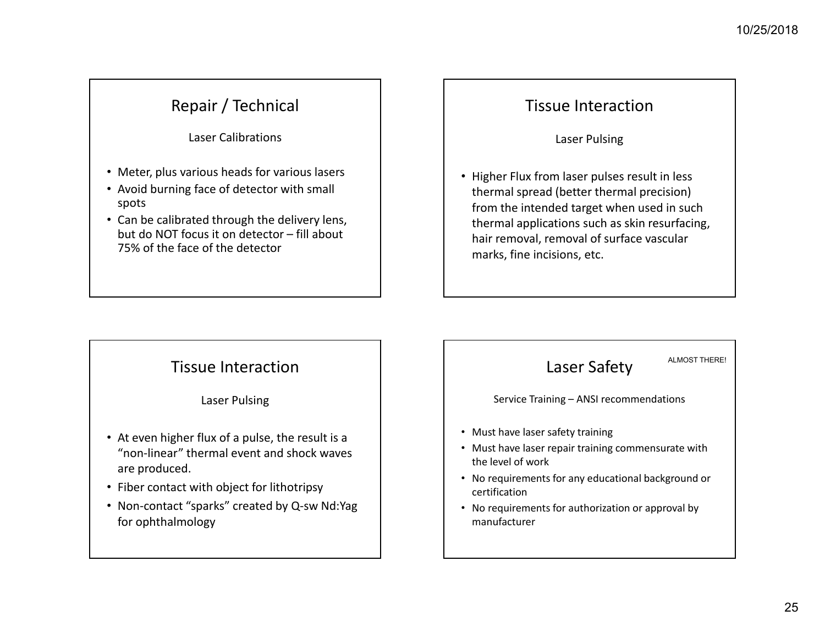Laser Calibrations

- Meter, plus various heads for various lasers
- Avoid burning face of detector with small spots
- Can be calibrated through the delivery lens, but do NOT focus it on detector – fill about 75% of the face of the detector

#### Tissue Interaction

Laser Pulsing

• Higher Flux from laser pulses result in less thermal spread (better thermal precision) from the intended target when used in such thermal applications such as skin resurfacing, hair removal, removal of surface vascular marks, fine incisions, etc.

#### Tissue Interaction

Laser Pulsing

- At even higher flux of <sup>a</sup> pulse, the result is <sup>a</sup> "non‐linear" thermal event and shock waves are produced.
- Fiber contact with object for lithotripsy
- Non‐contact "sparks" created by Q‐sw Nd:Yag for ophthalmology

| Laser Safety                                                                                                                                                                                                                                | ALMOST THERE! |
|---------------------------------------------------------------------------------------------------------------------------------------------------------------------------------------------------------------------------------------------|---------------|
| Service Training - ANSI recommendations                                                                                                                                                                                                     |               |
| • Must have laser safety training<br>• Must have laser repair training commensurate with<br>the level of work<br>• No requirements for any educational background or<br>certification<br>• No requirements for authorization or approval by |               |
| manufacturer                                                                                                                                                                                                                                |               |